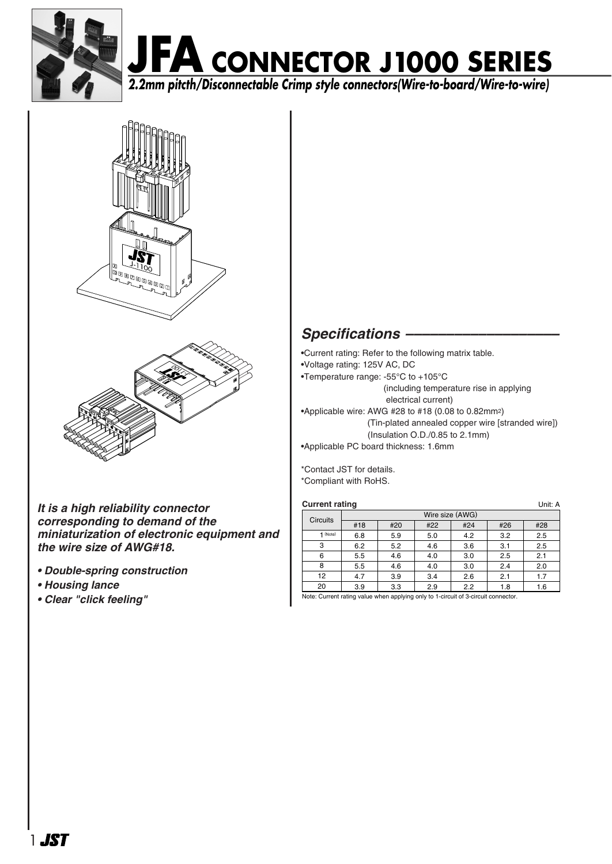

# **JFA CONNECTOR J1000 SERIES 2.2mm pitcth/Disconnectable Crimp style connectors(Wire-to-board/Wire-to-wire)**





*It is a high reliability connector corresponding to demand of the miniaturization of electronic equipment and the wire size of AWG#18.*

- *Double-spring construction*
- *Housing lance*
- *Clear "click feeling"*

### *Specifications –––––––––––––––––––*

•Current rating: Refer to the following matrix table. •Voltage rating: 125V AC, DC •Temperature range: -55°C to +105°C (including temperature rise in applying electrical current) •Applicable wire: AWG #28 to #18 (0.08 to 0.82mm2) (Tin-plated annealed copper wire [stranded wire])  $(Insulation O.D./0.85 to 2.1mm)$ •Applicable PC board thickness: 1.6mm

\*Contact JST for details. \*Compliant with RoHS.

| <b>Current rating</b><br>Unit: A |     |     |     |     |     |  |  |  |
|----------------------------------|-----|-----|-----|-----|-----|--|--|--|
| Wire size (AWG)                  |     |     |     |     |     |  |  |  |
| #18                              | #20 | #22 | #24 | #26 | #28 |  |  |  |
| 6.8                              | 5.9 | 5.0 | 4.2 | 3.2 | 2.5 |  |  |  |
| 6.2                              | 5.2 | 4.6 | 3.6 | 3.1 | 2.5 |  |  |  |
| 5.5                              | 4.6 | 4.0 | 3.0 | 2.5 | 2.1 |  |  |  |
| 5.5                              | 4.6 | 4.0 | 3.0 | 2.4 | 2.0 |  |  |  |
| 4.7                              | 3.9 | 3.4 | 2.6 | 2.1 | 1.7 |  |  |  |
| 3.9                              | 3.3 | 2.9 | 2.2 | 1.8 | 1.6 |  |  |  |
|                                  |     |     |     |     |     |  |  |  |

Note: Current rating value when applying only to 1-circuit of 3-circuit connector.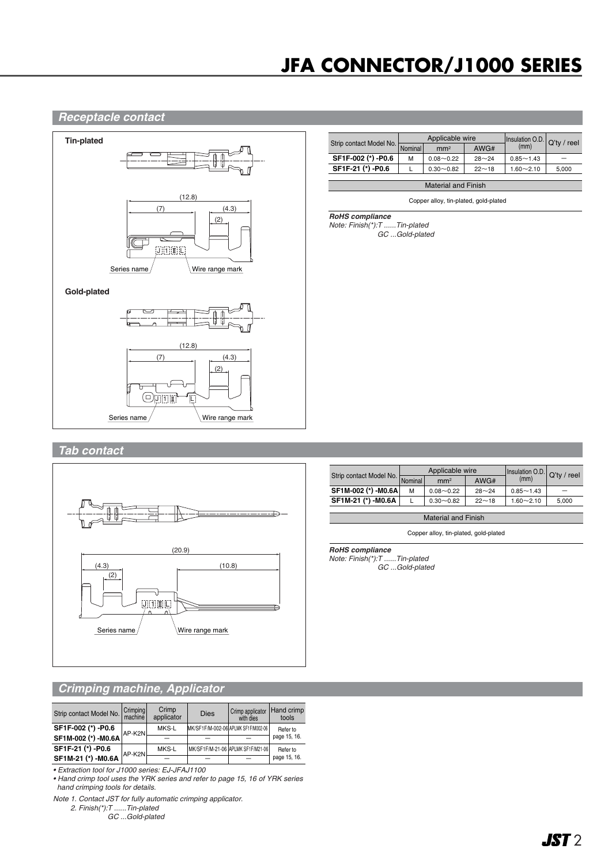## **JFA CONNECTOR/J1000 SERIES**

#### *Receptacle contact*



| (mm)<br>Nominal<br>AWG#<br>mm <sup>2</sup><br>-                           |                         | Applicable wire |               |           | Insulation O.D. Q'ty / reel |  |  |
|---------------------------------------------------------------------------|-------------------------|-----------------|---------------|-----------|-----------------------------|--|--|
|                                                                           | Strip contact Model No. |                 |               |           |                             |  |  |
|                                                                           | SF1F-002 (*) -P0.6      | м               | $0.08 - 0.22$ | $28 - 24$ | $0.85 - 1.43$               |  |  |
| SF1F-21 (*) -P0.6<br>$0.30 - 0.82$<br>$22 - 18$<br>$1.60 - 2.10$<br>5,000 |                         |                 |               |           |                             |  |  |

Material and Finish

Copper alloy, tin-plated, gold-plated

*RoHS compliance*

*Note: Finish(\*):T ......Tin-plated GC ...Gold-plated*

### *Tab contact*



|                         | Applicable wire |                 |           | Insulation O.D. Q'ty / reel |       |  |
|-------------------------|-----------------|-----------------|-----------|-----------------------------|-------|--|
| Strip contact Model No. | Nominal         | mm <sup>2</sup> | AWG#      | (mm)                        |       |  |
| SF1M-002 (*) -M0.6A     | М               | $0.08 - 0.22$   | $28 - 24$ | $0.85 - 1.43$               |       |  |
| SF1M-21 (*) -M0.6A      |                 | $0.30 - 0.82$   | $22 - 18$ | $1.60 - 2.10$               | 5,000 |  |

Material and Finish

Copper alloy, tin-plated, gold-plated

#### *RoHS compliance*

*Note: Finish(\*):T ......Tin-plated GC ...Gold-plated*

#### *Crimping machine, Applicator*

| Strip contact Model No. | Crimping<br>machine | Crimp<br>applicator | <b>Dies</b>                         | Crimp applicator<br>with dies | Hand crimp<br>tools |
|-------------------------|---------------------|---------------------|-------------------------------------|-------------------------------|---------------------|
| SF1F-002 (*) -P0.6      | AP-K2NL             | MKS-L               | MK/SF1F/M-002-06 APLMK SF1F/M002-06 |                               | Refer to            |
| SF1M-002 (*) -M0.6A     |                     |                     |                                     |                               | page 15, 16.        |
| SF1F-21 (*) -P0.6       | AP-K2N              | MKS-L               | MK/SF1F/M-21-06 APLMK SF1F/M21-06   |                               | Refer to            |
| SF1M-21 (*) -M0.6A      |                     |                     |                                     |                               | page 15, 16.        |

*• Extraction tool for J1000 series: EJ-JFAJ1100*

*• Hand crimp tool uses the YRK series and refer to page 15, 16 of YRK series hand crimping tools for details.*

*Note 1. Contact JST for fully automatic crimping applicator.*

*2. Finish(\*):T ......Tin-plated*

*GC ...Gold-plated*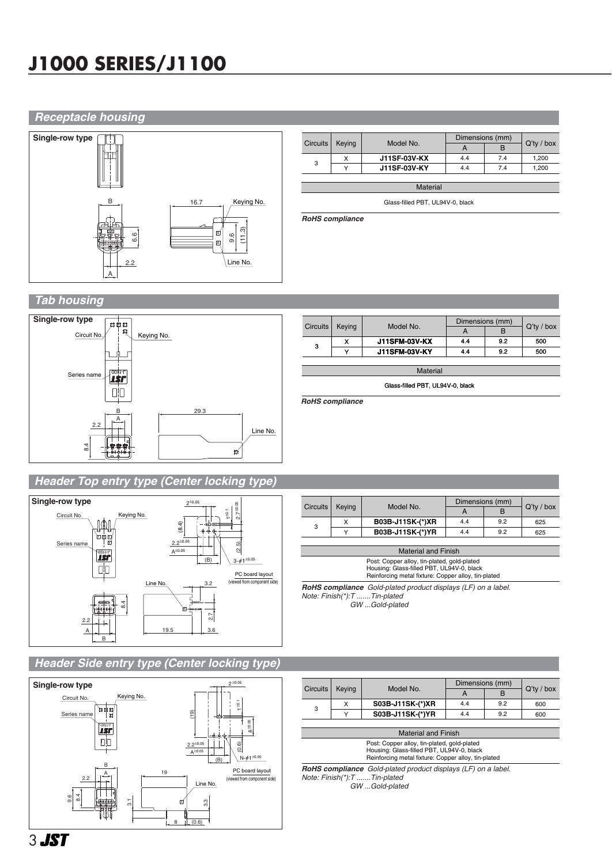### **J1000 SERIES/J1100**

#### *Receptacle housing*



|                 |                     |                 | Dimensions (mm) |               |       |
|-----------------|---------------------|-----------------|-----------------|---------------|-------|
| <b>Circuits</b> | Keying<br>Model No. | А               | в               | $Q'$ ty / box |       |
| 3               | x                   | J11SF-03V-KX    | 4.4             | 7.4           | 1,200 |
|                 | $\checkmark$        | J11SF-03V-KY    | 4.4             | 7.4           | 1,200 |
|                 |                     |                 |                 |               |       |
|                 |                     | <b>Material</b> |                 |               |       |

Glass-filled PBT, UL94V-0, black

*RoHS compliance*

#### *Tab housing*



|                                  |        |                      | Dimensions (mm) |     |               |  |  |  |  |  |
|----------------------------------|--------|----------------------|-----------------|-----|---------------|--|--|--|--|--|
| <b>Circuits</b>                  | Keying | Model No.            | A               | в   | $Q'$ ty / box |  |  |  |  |  |
| 3                                | x      | <b>J11SFM-03V-KX</b> | 4.4             | 9.2 | 500           |  |  |  |  |  |
|                                  | v      | <b>J11SFM-03V-KY</b> | 4.4             | 9.2 | 500           |  |  |  |  |  |
|                                  |        |                      |                 |     |               |  |  |  |  |  |
| <b>Material</b>                  |        |                      |                 |     |               |  |  |  |  |  |
| Glass-filled PBT, UL94V-0, black |        |                      |                 |     |               |  |  |  |  |  |

*RoHS compliance*

#### *Header Top entry type (Center locking type)*



#### Circuits Keying Model No.  $\begin{array}{|c|c|c|c|c|c|c|c|c|}\n\hline\nA & B & Q'ty / box\n\end{array}$  $3 \frac{\times}{\frac{3}{\cdot\cdot\cdot}}$ Y  **B03B-J11SK-(\*)XR B03B-J11SK-(\*)YR** Dimensions (mm)  $\,$  B 4.4 4.4  $\overline{9.2}$ 9.2 625 625

| <b>Material and Finish</b>                                                                                                                      |
|-------------------------------------------------------------------------------------------------------------------------------------------------|
| Post: Copper alloy, tin-plated, gold-plated<br>Housing: Glass-filled PBT, UL94V-0, black<br>Reinforcing metal fixture: Copper alloy, tin-plated |
| <b>RoHS compliance</b> Gold-plated product displays (LF) on a label.                                                                            |

*Note: Finish(\*):T .......Tin-plated GW ...Gold-plated*

#### *Header Side entry type (Center locking type)*



|          | Keying |                  | Dimensions (mm) |     |               |
|----------|--------|------------------|-----------------|-----|---------------|
| Circuits |        | Model No.        |                 | в   | $Q'$ ty / box |
| 3        | x      | S03B-J11SK-(*)XR | 4.4             | 9.2 | 600           |
|          |        | S03B-J11SK-(*)YR | 4.4             | 9.2 | 600           |
|          |        |                  |                 |     |               |

Post: Copper alloy, tin-plated, gold-plated Housing: Glass-filled PBT, UL94V-0, black Reinforcing metal fixture: Copper alloy, tin-plated Material and Finish

*RoHS compliance Gold-plated product displays (LF) on a label. Note: Finish(\*):T .......Tin-plated GW ...Gold-plated*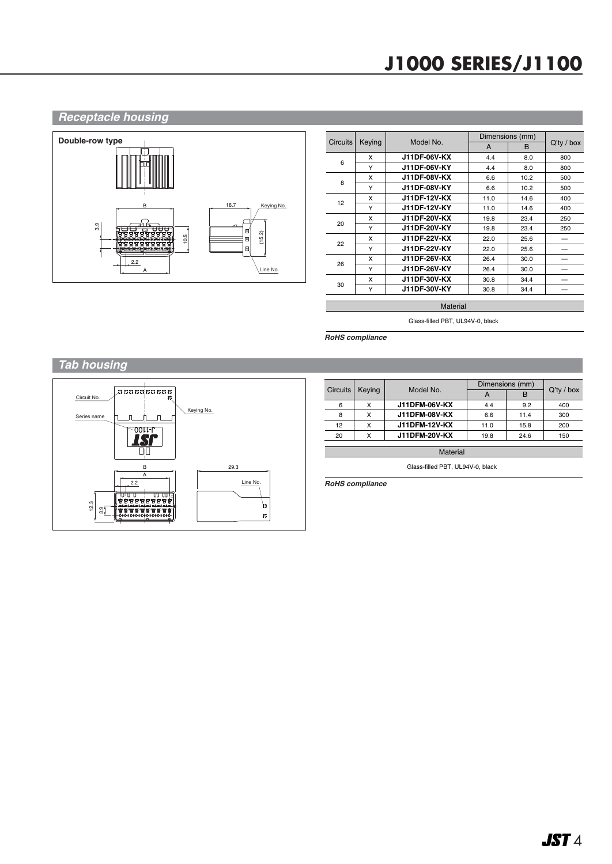### **J1000 SERIES/J1100**

#### *Receptacle housing* **Double-row type**  $16.7$  Keying No. 3.9 u-<del>An</del>g ਚਚੇਚ X (15.2) 10.5 B ,,,,,,,,,,,,,, A 2.2 Line No. A

|                 |        |                     |      | Dimensions (mm) |               |
|-----------------|--------|---------------------|------|-----------------|---------------|
| <b>Circuits</b> | Keying | Model No.           | A    | <sub>B</sub>    | $Q'$ ty / box |
| 6               | X      | J11DF-06V-KX        | 4.4  | 8.0             | 800           |
|                 | Υ      | J11DF-06V-KY        | 4.4  | 8.0             | 800           |
| 8               | X      | <b>J11DF-08V-KX</b> | 6.6  | 10.2            | 500           |
|                 | Υ      | J11DF-08V-KY        | 6.6  | 10.2            | 500           |
| 12              | X      | J11DF-12V-KX        | 11.0 | 14.6            | 400           |
|                 | Υ      | J11DF-12V-KY        | 11.0 | 14.6            | 400           |
| 20              | X      | J11DF-20V-KX        | 19.8 | 23.4            | 250           |
|                 | Y      | J11DF-20V-KY        | 19.8 | 23.4            | 250           |
| 22              | X      | <b>J11DF-22V-KX</b> | 22.0 | 25.6            |               |
|                 | Υ      | J11DF-22V-KY        | 22.0 | 25.6            |               |
| 26              | x      | J11DF-26V-KX        | 26.4 | 30.0            |               |
|                 | Υ      | J11DF-26V-KY        | 26.4 | 30.0            |               |
| 30              | x      | J11DF-30V-KX        | 30.8 | 34.4            |               |
|                 | Y      | J11DF-30V-KY        | 30.8 | 34.4            |               |

**Material** 

Glass-filled PBT, UL94V-0, black

*RoHS compliance* 

#### *Tab housing*

![](_page_3_Figure_7.jpeg)

|          |        | Model No.            | Dimensions (mm) |      |               |
|----------|--------|----------------------|-----------------|------|---------------|
| Circuits | Keying |                      |                 | в    | $Q'$ ty / box |
| 6        | x      | <b>J11DFM-06V-KX</b> | 4.4             | 9.2  | 400           |
| 8        | x      | <b>J11DFM-08V-KX</b> | 6.6             | 11.4 | 300           |
| 12       |        | <b>J11DFM-12V-KX</b> | 11.0            | 15.8 | 200           |
| 20       | x      | <b>J11DFM-20V-KX</b> | 19.8            | 24.6 | 150           |
|          |        |                      |                 |      |               |

**Material** 

Glass-filled PBT, UL94V-0, black

*RoHS compliance*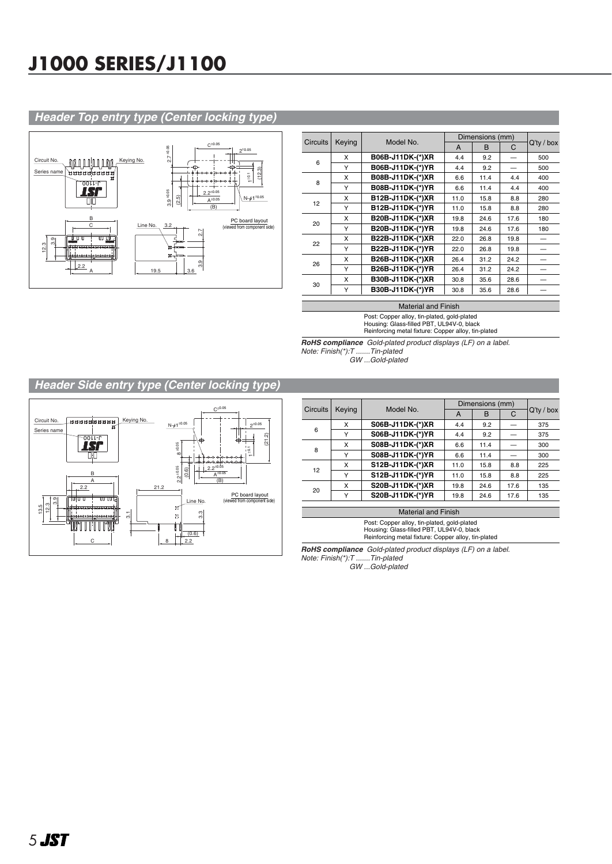### **J1000 SERIES/J1100**

#### *Header Top entry type (Center locking type)*

![](_page_4_Figure_2.jpeg)

|                 |        |                  | Dimensions (mm) |      |      |               |
|-----------------|--------|------------------|-----------------|------|------|---------------|
| <b>Circuits</b> | Keying | Model No.        | A               | B    | C    | $Q'$ ty / box |
| 6               | X      | B06B-J11DK-(*)XR | 4.4             | 9.2  |      | 500           |
|                 | Υ      | B06B-J11DK-(*)YR | 4.4             | 9.2  |      | 500           |
| 8               | X      | B08B-J11DK-(*)XR | 6.6             | 11.4 | 4.4  | 400           |
|                 | Y      | B08B-J11DK-(*)YR | 6.6             | 11.4 | 4.4  | 400           |
| 12              | x      | B12B-J11DK-(*)XR | 11.0            | 15.8 | 8.8  | 280           |
|                 | Y      | B12B-J11DK-(*)YR | 11.0            | 15.8 | 8.8  | 280           |
| 20              | x      | B20B-J11DK-(*)XR | 19.8            | 24.6 | 17.6 | 180           |
|                 | Υ      | B20B-J11DK-(*)YR | 19.8            | 24.6 | 17.6 | 180           |
| 22              | X      | B22B-J11DK-(*)XR | 22.0            | 26.8 | 19.8 |               |
|                 | Y      | B22B-J11DK-(*)YR | 22.0            | 26.8 | 19.8 |               |
| 26              | x      | B26B-J11DK-(*)XR | 26.4            | 31.2 | 24.2 |               |
|                 | Y      | B26B-J11DK-(*)YR | 26.4            | 31.2 | 24.2 |               |
| 30              | x      | B30B-J11DK-(*)XR | 30.8            | 35.6 | 28.6 |               |
|                 | Υ      | B30B-J11DK-(*)YR | 30.8            | 35.6 | 28.6 |               |

#### Material and Finish

Post: Copper alloy, tin-plated, gold-plated Housing: Glass-filled PBT, UL94V-0, black Reinforcing metal fixture: Copper alloy, tin-plated

*RoHS compliance Gold-plated product displays (LF) on a label. Note: Finish(\*):T .......Tin-plated GW ...Gold-plated*

### *Header Side entry type (Center locking type)*

![](_page_4_Figure_8.jpeg)

| <b>Circuits</b> |        | Model No.                  | Dimensions (mm) |      |      |               |  |  |  |
|-----------------|--------|----------------------------|-----------------|------|------|---------------|--|--|--|
|                 | Keying |                            | A               | B    | C    | $Q'$ ty / box |  |  |  |
|                 | x      | S06B-J11DK-(*)XR           | 4.4             | 9.2  |      | 375           |  |  |  |
| 6               | Υ      | S06B-J11DK-(*)YR           | 4.4             | 9.2  |      | 375           |  |  |  |
| 8               | x      | S08B-J11DK-(*)XR           | 6.6             | 11.4 |      | 300           |  |  |  |
|                 | Υ      | S08B-J11DK-(*)YR           | 6.6             | 11.4 |      | 300           |  |  |  |
|                 | x      | S12B-J11DK-(*)XR           | 11.0            | 15.8 | 8.8  | 225           |  |  |  |
| 12 <sup>2</sup> | Υ      | S12B-J11DK-(*)YR           | 11.0            | 15.8 | 8.8  | 225           |  |  |  |
|                 | x      | S20B-J11DK-(*)XR           | 19.8            | 24.6 | 17.6 | 135           |  |  |  |
| 20              | Υ      | S20B-J11DK-(*)YR           | 19.8            | 24.6 | 17.6 | 135           |  |  |  |
|                 |        |                            |                 |      |      |               |  |  |  |
|                 |        | <b>Material and Finish</b> |                 |      |      |               |  |  |  |
|                 |        | .                          |                 |      |      |               |  |  |  |

Post: Copper alloy, tin-plated, gold-plated Housing: Glass-filled PBT, UL94V-0, black Reinforcing metal fixture: Copper alloy, tin-plated

*RoHS compliance Gold-plated product displays (LF) on a label. Note: Finish(\*):T .......Tin-plated* 

*GW ...Gold-plated*